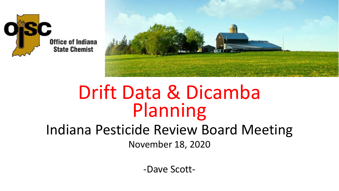



### Drift Data & Dicamba Planning

#### Indiana Pesticide Review Board Meeting November 18, 2020

-Dave Scott-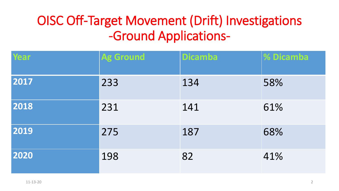### OISC Off-Target Movement (Drift) Investigations -Ground Applications-

| Year | <b>Ag Ground</b> | <b>Dicamba</b> | % Dicamba |
|------|------------------|----------------|-----------|
| 2017 | 233              | 134            | 58%       |
| 2018 | 231              | 141            | 61%       |
| 2019 | 275              | 187            | 68%       |
| 2020 | 198              | 82             | 41%       |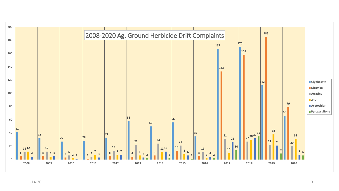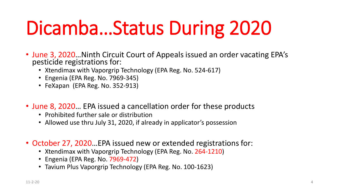# Dicamba…Status During 2020

- June 3, 2020…Ninth Circuit Court of Appeals issued an order vacating EPA's pesticide registrations for:
	- Xtendimax with Vaporgrip Technology (EPA Reg. No. 524-617)
	- Engenia (EPA Reg. No. 7969-345)
	- FeXapan (EPA Reg. No. 352-913)
- June 8, 2020... EPA issued a cancellation order for these products
	- Prohibited further sale or distribution
	- Allowed use thru July 31, 2020, if already in applicator's possession
- October 27, 2020…EPA issued new or extended registrations for:
	- Xtendimax with Vaporgrip Technology (EPA Reg. No. 264-1210)
	- Engenia (EPA Reg. No. 7969-472)
	- Tavium Plus Vaporgrip Technology (EPA Reg. No. 100-1623)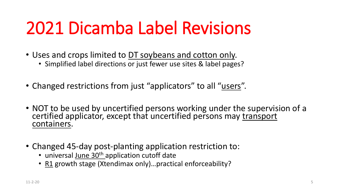## 2021 Dicamba Label Revisions

- Uses and crops limited to DT soybeans and cotton only.
	- Simplified label directions or just fewer use sites & label pages?
- Changed restrictions from just "applicators" to all "users".
- NOT to be used by uncertified persons working under the supervision of a certified applicator, except that uncertified persons may transport containers.
- Changed 45-day post-planting application restriction to:
	- universal June 30<sup>th</sup> application cutoff date
	- R1 growth stage (Xtendimax only)…practical enforceability?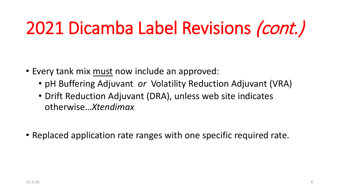## 2021 Dicamba Label Revisions (cont.)

- Every tank mix must now include an approved:
	- pH Buffering Adjuvant *or* Volatility Reduction Adjuvant (VRA)
	- Drift Reduction Adjuvant (DRA), unless web site indicates otherwise…*Xtendimax*
- Replaced application rate ranges with one specific required rate.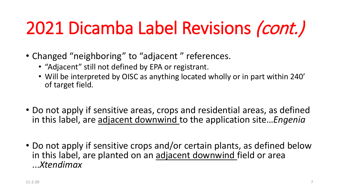## 2021 Dicamba Label Revisions (cont.)

- Changed "neighboring" to "adjacent" references.
	- "Adjacent" still not defined by EPA or registrant.
	- Will be interpreted by OISC as anything located wholly or in part within 240' of target field.
- Do not apply if sensitive areas, crops and residential areas, as defined in this label, are adjacent downwind to the application site…*Engenia*
- Do not apply if sensitive crops and/or certain plants, as defined below in this label, are planted on an adjacent downwind field or area ...*Xtendimax*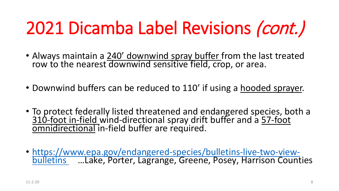## 2021 Dicamba Label Revisions (cont.)

- Always maintain a 240' downwind spray buffer from the last treated row to the nearest downwind sensitive field, crop, or area.
- Downwind buffers can be reduced to 110' if using a hooded sprayer.
- To protect federally listed threatened and endangered species, both a 310-foot in-field wind-directional spray drift buffer and a 57-foot omnidirectional in-field buffer are required.
- [https://www.epa.gov/endangered-species/bulletins-live-two-view-](https://www.epa.gov/endangered-species/bulletins-live-two-view-bulletins%20...Posey) bulletins …Lake, Porter, Lagrange, Greene, Posey, Harrison Counties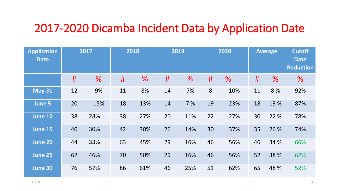#### 2017-2020 Dicamba Incident Data by Application Date

| <b>Application</b><br><b>Date</b> |    | 2017 | 2018 |               | 2019 |               |    | 2020          |    | <b>Average</b> | <b>Cutoff</b><br><b>Date</b><br><b>Reduction</b> |
|-----------------------------------|----|------|------|---------------|------|---------------|----|---------------|----|----------------|--------------------------------------------------|
|                                   | #  | %    | #    | $\frac{9}{6}$ | #    | $\frac{0}{6}$ | #  | $\frac{0}{6}$ | #  | %              | $\frac{9}{6}$                                    |
| <b>May 31</b>                     | 12 | 9%   | 11   | 8%            | 14   | 7%            | 8  | 10%           | 11 | 8%             | 92%                                              |
| June 5                            | 20 | 15%  | 18   | 13%           | 14   | 7 %           | 19 | 23%           | 18 | 13 %           | 87%                                              |
| June 10                           | 38 | 28%  | 38   | 27%           | 20   | 11%           | 22 | 27%           | 30 | 22 %           | 78%                                              |
| <b>June 15</b>                    | 40 | 30%  | 42   | 30%           | 26   | 14%           | 30 | 37%           | 35 | 26 %           | 74%                                              |
| June 20                           | 44 | 33%  | 63   | 45%           | 29   | 16%           | 46 | 56%           | 46 | 34 %           | 66%                                              |
| <b>June 25</b>                    | 62 | 46%  | 70   | 50%           | 29   | 16%           | 46 | 56%           | 52 | 38 %           | 62%                                              |
| <b>June 30</b>                    | 76 | 57%  | 86   | 61%           | 46   | 25%           | 51 | 62%           | 65 | 48 %           | 52%                                              |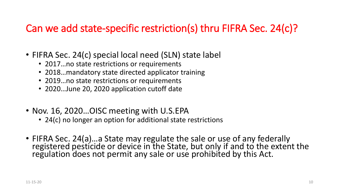#### Can we add state-specific restriction(s) thru FIFRA Sec. 24(c)?

- FIFRA Sec. 24(c) special local need (SLN) state label
	- 2017... no state restrictions or requirements
	- 2018…mandatory state directed applicator training
	- 2019…no state restrictions or requirements
	- 2020…June 20, 2020 application cutoff date
- Nov. 16, 2020...OISC meeting with U.S.EPA
	- 24(c) no longer an option for additional state restrictions
- FIFRA Sec. 24(a)…a State may regulate the sale or use of any federally registered pesticide or device in the State, but only if and to the extent the regulation does not permit any sale or use prohibited by this Act.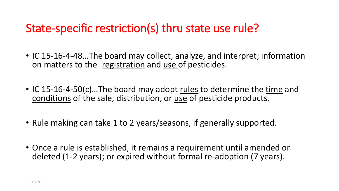#### State-specific restriction(s) thru state use rule?

- IC 15-16-4-48…The board may collect, analyze, and interpret; information on matters to the registration and use of pesticides.
- IC 15-16-4-50(c)...The board may adopt rules to determine the time and conditions of the sale, distribution, or use of pesticide products.
- Rule making can take 1 to 2 years/seasons, if generally supported.
- Once a rule is established, it remains a requirement until amended or deleted (1-2 years); or expired without formal re-adoption (7 years).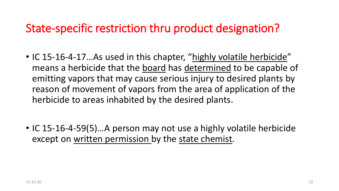#### State-specific restriction thru product designation?

- IC 15-16-4-17. As used in this chapter, "highly volatile herbicide" means a herbicide that the board has determined to be capable of emitting vapors that may cause serious injury to desired plants by reason of movement of vapors from the area of application of the herbicide to areas inhabited by the desired plants.
- IC 15-16-4-59(5)...A person may not use a highly volatile herbicide except on written permission by the state chemist.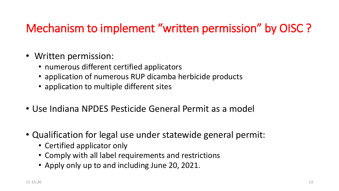### Mechanism to implement "written permission" by OISC ?

- Written permission:
	- numerous different certified applicators
	- application of numerous RUP dicamba herbicide products
	- application to multiple different sites
- Use Indiana NPDES Pesticide General Permit as a model
- Qualification for legal use under statewide general permit:
	- Certified applicator only
	- Comply with all label requirements and restrictions
	- Apply only up to and including June 20, 2021.